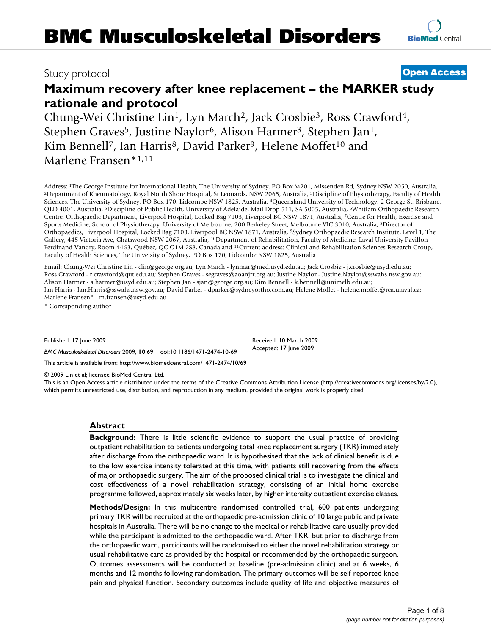# Study protocol **[Open Access](http://www.biomedcentral.com/info/about/charter/) Maximum recovery after knee replacement – the MARKER study rationale and protocol**

Chung-Wei Christine Lin1, Lyn March2, Jack Crosbie3, Ross Crawford4, Stephen Graves<sup>5</sup>, Justine Naylor<sup>6</sup>, Alison Harmer<sup>3</sup>, Stephen Jan<sup>1</sup>, Kim Bennell<sup>7</sup>, Ian Harris<sup>8</sup>, David Parker<sup>9</sup>, Helene Moffet<sup>10</sup> and Marlene Fransen\*1,11

Address: 1The George Institute for International Health, The University of Sydney, PO Box M201, Missenden Rd, Sydney NSW 2050, Australia, <sup>2</sup>Department of Rheumatology, Royal North Shore Hospital, St Leonards, NSW 2065, Australia, <sup>3</sup>Discipline of Physiotherapy, Faculty of Health Sciences, The University of Sydney, PO Box 170, Lidcombe NSW 1825, Australia, 4Queensland University of Technology, 2 George St, Brisbane, QLD 4001, Australia, 5Discipline of Public Health, University of Adelaide, Mail Drop 511, SA 5005, Australia, 6Whitlam Orthopaedic Research Centre, Orthopaedic Department, Liverpool Hospital, Locked Bag 7103, Liverpool BC NSW 1871, Australia, 7Centre for Health, Exercise and Sports Medicine, School of Physiotherapy, University of Melbourne, 200 Berkeley Street, Melbourne VIC 3010, Australia, 8Director of Orthopaedics, Liverpool Hospital, Locked Bag 7103, Liverpool BC NSW 1871, Australia, 9Sydney Orthopaedic Research Institute, Level 1, The Gallery, 445 Victoria Ave, Chatswood NSW 2067, Australia, 10Department of Rehabilitation, Faculty of Medicine, Laval University Pavillon Ferdinand-Vandry, Room 4463, Québec, QC G1M 2S8, Canada and 11Current address: Clinical and Rehabilitation Sciences Research Group, Faculty of Health Sciences, The University of Sydney, PO Box 170, Lidcombe NSW 1825, Australia

Email: Chung-Wei Christine Lin - clin@george.org.au; Lyn March - lynmar@med.usyd.edu.au; Jack Crosbie - j.crosbie@usyd.edu.au; Ross Crawford - r.crawford@qut.edu.au; Stephen Graves - segraves@aoanjrr.org.au; Justine Naylor - Justine.Naylor@sswahs.nsw.gov.au; Alison Harmer - a.harmer@usyd.edu.au; Stephen Jan - sjan@george.org.au; Kim Bennell - k.bennell@unimelb.edu.au; Ian Harris - Ian.Harris@sswahs.nsw.gov.au; David Parker - dparker@sydneyortho.com.au; Helene Moffet - helene.moffet@rea.ulaval.ca; Marlene Fransen\* - m.fransen@usyd.edu.au

\* Corresponding author

Published: 17 June 2009

*BMC Musculoskeletal Disorders* 2009, **10**:69 doi:10.1186/1471-2474-10-69

Received: 10 March 2009 Accepted: 17 June 2009

[This article is available from: http://www.biomedcentral.com/1471-2474/10/69](http://www.biomedcentral.com/1471-2474/10/69)

© 2009 Lin et al; licensee BioMed Central Ltd.

This is an Open Access article distributed under the terms of the Creative Commons Attribution License [\(http://creativecommons.org/licenses/by/2.0\)](http://creativecommons.org/licenses/by/2.0), which permits unrestricted use, distribution, and reproduction in any medium, provided the original work is properly cited.

### **Abstract**

**Background:** There is little scientific evidence to support the usual practice of providing outpatient rehabilitation to patients undergoing total knee replacement surgery (TKR) immediately after discharge from the orthopaedic ward. It is hypothesised that the lack of clinical benefit is due to the low exercise intensity tolerated at this time, with patients still recovering from the effects of major orthopaedic surgery. The aim of the proposed clinical trial is to investigate the clinical and cost effectiveness of a novel rehabilitation strategy, consisting of an initial home exercise programme followed, approximately six weeks later, by higher intensity outpatient exercise classes.

**Methods/Design:** In this multicentre randomised controlled trial, 600 patients undergoing primary TKR will be recruited at the orthopaedic pre-admission clinic of 10 large public and private hospitals in Australia. There will be no change to the medical or rehabilitative care usually provided while the participant is admitted to the orthopaedic ward. After TKR, but prior to discharge from the orthopaedic ward, participants will be randomised to either the novel rehabilitation strategy or usual rehabilitative care as provided by the hospital or recommended by the orthopaedic surgeon. Outcomes assessments will be conducted at baseline (pre-admission clinic) and at 6 weeks, 6 months and 12 months following randomisation. The primary outcomes will be self-reported knee pain and physical function. Secondary outcomes include quality of life and objective measures of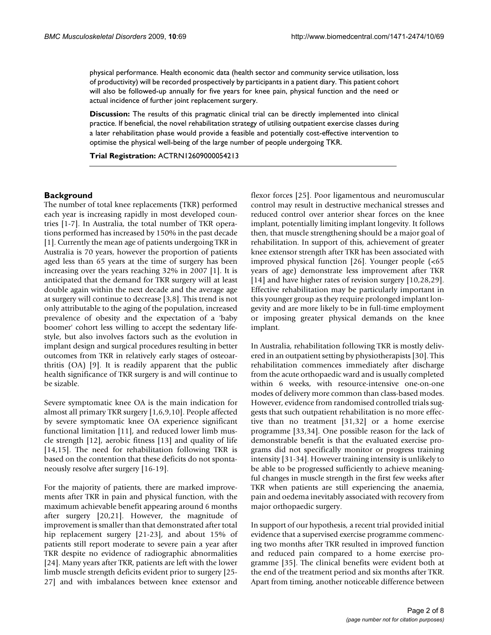physical performance. Health economic data (health sector and community service utilisation, loss of productivity) will be recorded prospectively by participants in a patient diary. This patient cohort will also be followed-up annually for five years for knee pain, physical function and the need or actual incidence of further joint replacement surgery.

**Discussion:** The results of this pragmatic clinical trial can be directly implemented into clinical practice. If beneficial, the novel rehabilitation strategy of utilising outpatient exercise classes during a later rehabilitation phase would provide a feasible and potentially cost-effective intervention to optimise the physical well-being of the large number of people undergoing TKR.

**Trial Registration:** ACTRN12609000054213

#### **Background**

The number of total knee replacements (TKR) performed each year is increasing rapidly in most developed countries [1-7]. In Australia, the total number of TKR operations performed has increased by 150% in the past decade [1]. Currently the mean age of patients undergoing TKR in Australia is 70 years, however the proportion of patients aged less than 65 years at the time of surgery has been increasing over the years reaching 32% in 2007 [1]. It is anticipated that the demand for TKR surgery will at least double again within the next decade and the average age at surgery will continue to decrease [3,8]. This trend is not only attributable to the aging of the population, increased prevalence of obesity and the expectation of a 'baby boomer' cohort less willing to accept the sedentary lifestyle, but also involves factors such as the evolution in implant design and surgical procedures resulting in better outcomes from TKR in relatively early stages of osteoarthritis (OA) [9]. It is readily apparent that the public health significance of TKR surgery is and will continue to be sizable.

Severe symptomatic knee OA is the main indication for almost all primary TKR surgery [1,6,9,10]. People affected by severe symptomatic knee OA experience significant functional limitation [11], and reduced lower limb muscle strength [12], aerobic fitness [13] and quality of life [14,15]. The need for rehabilitation following TKR is based on the contention that these deficits do not spontaneously resolve after surgery [16-19].

For the majority of patients, there are marked improvements after TKR in pain and physical function, with the maximum achievable benefit appearing around 6 months after surgery [20,21]. However, the magnitude of improvement is smaller than that demonstrated after total hip replacement surgery [21-23], and about 15% of patients still report moderate to severe pain a year after TKR despite no evidence of radiographic abnormalities [24]. Many years after TKR, patients are left with the lower limb muscle strength deficits evident prior to surgery [25- 27] and with imbalances between knee extensor and flexor forces [25]. Poor ligamentous and neuromuscular control may result in destructive mechanical stresses and reduced control over anterior shear forces on the knee implant, potentially limiting implant longevity. It follows then, that muscle strengthening should be a major goal of rehabilitation. In support of this, achievement of greater knee extensor strength after TKR has been associated with improved physical function [26]. Younger people (<65 years of age) demonstrate less improvement after TKR [14] and have higher rates of revision surgery [10,28,29]. Effective rehabilitation may be particularly important in this younger group as they require prolonged implant longevity and are more likely to be in full-time employment or imposing greater physical demands on the knee implant.

In Australia, rehabilitation following TKR is mostly delivered in an outpatient setting by physiotherapists [30]. This rehabilitation commences immediately after discharge from the acute orthopaedic ward and is usually completed within 6 weeks, with resource-intensive one-on-one modes of delivery more common than class-based modes. However, evidence from randomised controlled trials suggests that such outpatient rehabilitation is no more effective than no treatment [31,32] or a home exercise programme [33,34]. One possible reason for the lack of demonstrable benefit is that the evaluated exercise programs did not specifically monitor or progress training intensity [31-34]. However training intensity is unlikely to be able to be progressed sufficiently to achieve meaningful changes in muscle strength in the first few weeks after TKR when patients are still experiencing the anaemia, pain and oedema inevitably associated with recovery from major orthopaedic surgery.

In support of our hypothesis, a recent trial provided initial evidence that a supervised exercise programme commencing two months after TKR resulted in improved function and reduced pain compared to a home exercise programme [35]. The clinical benefits were evident both at the end of the treatment period and six months after TKR. Apart from timing, another noticeable difference between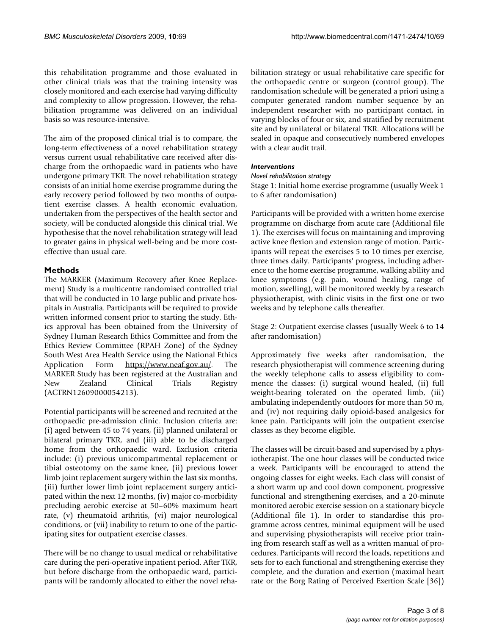this rehabilitation programme and those evaluated in other clinical trials was that the training intensity was closely monitored and each exercise had varying difficulty and complexity to allow progression. However, the rehabilitation programme was delivered on an individual basis so was resource-intensive.

The aim of the proposed clinical trial is to compare, the long-term effectiveness of a novel rehabilitation strategy versus current usual rehabilitative care received after discharge from the orthopaedic ward in patients who have undergone primary TKR. The novel rehabilitation strategy consists of an initial home exercise programme during the early recovery period followed by two months of outpatient exercise classes. A health economic evaluation, undertaken from the perspectives of the health sector and society, will be conducted alongside this clinical trial. We hypothesise that the novel rehabilitation strategy will lead to greater gains in physical well-being and be more costeffective than usual care.

# **Methods**

The MARKER (Maximum Recovery after Knee Replacement) Study is a multicentre randomised controlled trial that will be conducted in 10 large public and private hospitals in Australia. Participants will be required to provide written informed consent prior to starting the study. Ethics approval has been obtained from the University of Sydney Human Research Ethics Committee and from the Ethics Review Committee (RPAH Zone) of the Sydney South West Area Health Service using the National Ethics Application Form <https://www.neaf.gov.au/>. The MARKER Study has been registered at the Australian and New Zealand Clinical Trials Registry (ACTRN12609000054213).

Potential participants will be screened and recruited at the orthopaedic pre-admission clinic. Inclusion criteria are: (i) aged between 45 to 74 years, (ii) planned unilateral or bilateral primary TKR, and (iii) able to be discharged home from the orthopaedic ward. Exclusion criteria include: (i) previous unicompartmental replacement or tibial osteotomy on the same knee, (ii) previous lower limb joint replacement surgery within the last six months, (iii) further lower limb joint replacement surgery anticipated within the next 12 months, (iv) major co-morbidity precluding aerobic exercise at 50–60% maximum heart rate, (v) rheumatoid arthritis, (vi) major neurological conditions, or (vii) inability to return to one of the participating sites for outpatient exercise classes.

There will be no change to usual medical or rehabilitative care during the peri-operative inpatient period. After TKR, but before discharge from the orthopaedic ward, participants will be randomly allocated to either the novel rehabilitation strategy or usual rehabilitative care specific for the orthopaedic centre or surgeon (control group). The randomisation schedule will be generated a priori using a computer generated random number sequence by an independent researcher with no participant contact, in varying blocks of four or six, and stratified by recruitment site and by unilateral or bilateral TKR. Allocations will be sealed in opaque and consecutively numbered envelopes with a clear audit trail.

### *Interventions*

#### *Novel rehabilitation strategy*

Stage 1: Initial home exercise programme (usually Week 1 to 6 after randomisation)

Participants will be provided with a written home exercise programme on discharge from acute care (Additional file 1). The exercises will focus on maintaining and improving active knee flexion and extension range of motion. Participants will repeat the exercises 5 to 10 times per exercise, three times daily. Participants' progress, including adherence to the home exercise programme, walking ability and knee symptoms (e.g. pain, wound healing, range of motion, swelling), will be monitored weekly by a research physiotherapist, with clinic visits in the first one or two weeks and by telephone calls thereafter.

Stage 2: Outpatient exercise classes (usually Week 6 to 14 after randomisation)

Approximately five weeks after randomisation, the research physiotherapist will commence screening during the weekly telephone calls to assess eligibility to commence the classes: (i) surgical wound healed, (ii) full weight-bearing tolerated on the operated limb, (iii) ambulating independently outdoors for more than 50 m, and (iv) not requiring daily opioid-based analgesics for knee pain. Participants will join the outpatient exercise classes as they become eligible.

The classes will be circuit-based and supervised by a physiotherapist. The one hour classes will be conducted twice a week. Participants will be encouraged to attend the ongoing classes for eight weeks. Each class will consist of a short warm up and cool down component, progressive functional and strengthening exercises, and a 20-minute monitored aerobic exercise session on a stationary bicycle (Additional file 1). In order to standardise this programme across centres, minimal equipment will be used and supervising physiotherapists will receive prior training from research staff as well as a written manual of procedures. Participants will record the loads, repetitions and sets for to each functional and strengthening exercise they complete, and the duration and exertion (maximal heart rate or the Borg Rating of Perceived Exertion Scale [36])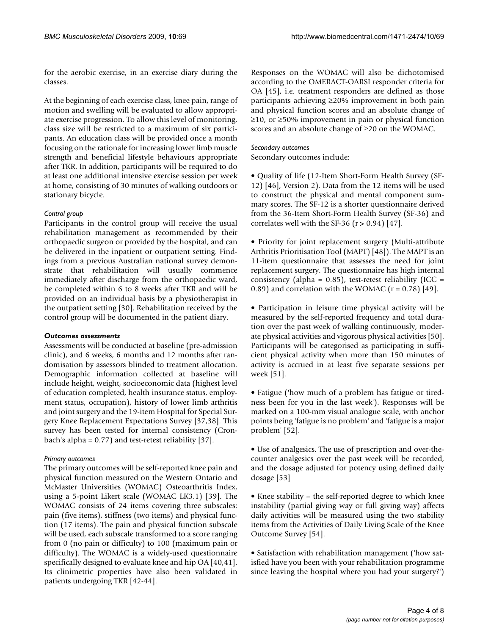for the aerobic exercise, in an exercise diary during the classes.

At the beginning of each exercise class, knee pain, range of motion and swelling will be evaluated to allow appropriate exercise progression. To allow this level of monitoring, class size will be restricted to a maximum of six participants. An education class will be provided once a month focusing on the rationale for increasing lower limb muscle strength and beneficial lifestyle behaviours appropriate after TKR. In addition, participants will be required to do at least one additional intensive exercise session per week at home, consisting of 30 minutes of walking outdoors or stationary bicycle.

## *Control group*

Participants in the control group will receive the usual rehabilitation management as recommended by their orthopaedic surgeon or provided by the hospital, and can be delivered in the inpatient or outpatient setting. Findings from a previous Australian national survey demonstrate that rehabilitation will usually commence immediately after discharge from the orthopaedic ward, be completed within 6 to 8 weeks after TKR and will be provided on an individual basis by a physiotherapist in the outpatient setting [30]. Rehabilitation received by the control group will be documented in the patient diary.

## *Outcomes assessments*

Assessments will be conducted at baseline (pre-admission clinic), and 6 weeks, 6 months and 12 months after randomisation by assessors blinded to treatment allocation. Demographic information collected at baseline will include height, weight, socioeconomic data (highest level of education completed, health insurance status, employment status, occupation), history of lower limb arthritis and joint surgery and the 19-item Hospital for Special Surgery Knee Replacement Expectations Survey [37,38]. This survey has been tested for internal consistency (Cronbach's alpha = 0.77) and test-retest reliability [37].

# *Primary outcomes*

The primary outcomes will be self-reported knee pain and physical function measured on the Western Ontario and McMaster Universities (WOMAC) Osteoarthritis Index, using a 5-point Likert scale (WOMAC LK3.1) [39]. The WOMAC consists of 24 items covering three subscales: pain (five items), stiffness (two items) and physical function (17 items). The pain and physical function subscale will be used, each subscale transformed to a score ranging from 0 (no pain or difficulty) to 100 (maximum pain or difficulty). The WOMAC is a widely-used questionnaire specifically designed to evaluate knee and hip OA [40,41]. Its clinimetric properties have also been validated in patients undergoing TKR [42-44].

Responses on the WOMAC will also be dichotomised according to the OMERACT-OARSI responder criteria for OA [45], i.e. treatment responders are defined as those participants achieving ≥20% improvement in both pain and physical function scores and an absolute change of  $\geq$ 10, or  $\geq$ 50% improvement in pain or physical function scores and an absolute change of ≥20 on the WOMAC.

# *Secondary outcomes*

Secondary outcomes include:

• Quality of life (12-Item Short-Form Health Survey (SF-12) [46], Version 2). Data from the 12 items will be used to construct the physical and mental component summary scores. The SF-12 is a shorter questionnaire derived from the 36-Item Short-Form Health Survey (SF-36) and correlates well with the SF-36 ( $r > 0.94$ ) [47].

• Priority for joint replacement surgery (Multi-attribute Arthritis Prioritisation Tool (MAPT) [48]). The MAPT is an 11-item questionnaire that assesses the need for joint replacement surgery. The questionnaire has high internal consistency (alpha =  $0.85$ ), test-retest reliability (ICC = 0.89) and correlation with the WOMAC  $(r = 0.78)$  [49].

• Participation in leisure time physical activity will be measured by the self-reported frequency and total duration over the past week of walking continuously, moderate physical activities and vigorous physical activities [50]. Participants will be categorised as participating in sufficient physical activity when more than 150 minutes of activity is accrued in at least five separate sessions per week [51].

• Fatigue ('how much of a problem has fatigue or tiredness been for you in the last week'). Responses will be marked on a 100-mm visual analogue scale, with anchor points being 'fatigue is no problem' and 'fatigue is a major problem' [52].

• Use of analgesics. The use of prescription and over-thecounter analgesics over the past week will be recorded, and the dosage adjusted for potency using defined daily dosage [53]

• Knee stability – the self-reported degree to which knee instability (partial giving way or full giving way) affects daily activities will be measured using the two stability items from the Activities of Daily Living Scale of the Knee Outcome Survey [54].

• Satisfaction with rehabilitation management ('how satisfied have you been with your rehabilitation programme since leaving the hospital where you had your surgery?')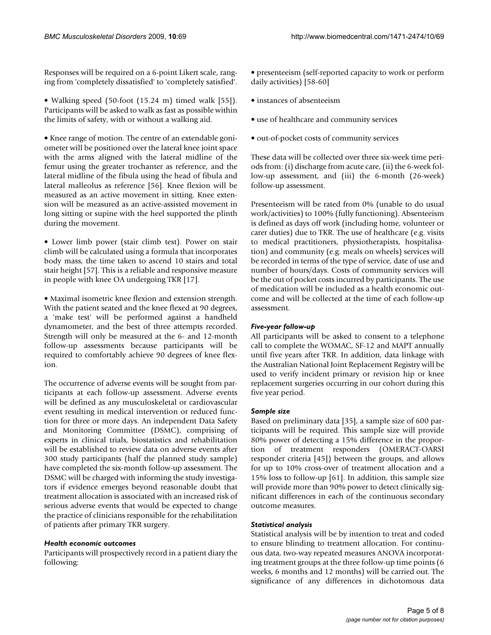Responses will be required on a 6-point Likert scale, ranging from 'completely dissatisfied' to 'completely satisfied'.

• Walking speed (50-foot (15.24 m) timed walk [55]). Participants will be asked to walk as fast as possible within the limits of safety, with or without a walking aid.

• Knee range of motion. The centre of an extendable goniometer will be positioned over the lateral knee joint space with the arms aligned with the lateral midline of the femur using the greater trochanter as reference, and the lateral midline of the fibula using the head of fibula and lateral malleolus as reference [56]. Knee flexion will be measured as an active movement in sitting. Knee extension will be measured as an active-assisted movement in long sitting or supine with the heel supported the plinth during the movement.

• Lower limb power (stair climb test). Power on stair climb will be calculated using a formula that incorporates body mass, the time taken to ascend 10 stairs and total stair height [57]. This is a reliable and responsive measure in people with knee OA undergoing TKR [17].

• Maximal isometric knee flexion and extension strength. With the patient seated and the knee flexed at 90 degrees, a 'make test' will be performed against a handheld dynamometer, and the best of three attempts recorded. Strength will only be measured at the 6- and 12-month follow-up assessments because participants will be required to comfortably achieve 90 degrees of knee flexion.

The occurrence of adverse events will be sought from participants at each follow-up assessment. Adverse events will be defined as any musculoskeletal or cardiovascular event resulting in medical intervention or reduced function for three or more days. An independent Data Safety and Monitoring Committee (DSMC), comprising of experts in clinical trials, biostatistics and rehabilitation will be established to review data on adverse events after 300 study participants (half the planned study sample) have completed the six-month follow-up assessment. The DSMC will be charged with informing the study investigators if evidence emerges beyond reasonable doubt that treatment allocation is associated with an increased risk of serious adverse events that would be expected to change the practice of clinicians responsible for the rehabilitation of patients after primary TKR surgery.

#### *Health economic outcomes*

Participants will prospectively record in a patient diary the following:

- presenteeism (self-reported capacity to work or perform daily activities) [58-60]
- instances of absenteeism
- use of healthcare and community services
- out-of-pocket costs of community services

These data will be collected over three six-week time periods from: (i) discharge from acute care, (ii) the 6-week follow-up assessment, and (iii) the 6-month (26-week) follow-up assessment.

Presenteeism will be rated from 0% (unable to do usual work/activities) to 100% (fully functioning). Absenteeism is defined as days off work (including home, volunteer or carer duties) due to TKR. The use of healthcare (e.g. visits to medical practitioners, physiotherapists, hospitalisation) and community (e.g. meals on wheels) services will be recorded in terms of the type of service, date of use and number of hours/days. Costs of community services will be the out of pocket costs incurred by participants. The use of medication will be included as a health economic outcome and will be collected at the time of each follow-up assessment.

## *Five-year follow-up*

All participants will be asked to consent to a telephone call to complete the WOMAC, SF-12 and MAPT annually until five years after TKR. In addition, data linkage with the Australian National Joint Replacement Registry will be used to verify incident primary or revision hip or knee replacement surgeries occurring in our cohort during this five year period.

## *Sample size*

Based on preliminary data [35], a sample size of 600 participants will be required. This sample size will provide 80% power of detecting a 15% difference in the proportion of treatment responders (OMERACT-OARSI responder criteria [45]) between the groups, and allows for up to 10% cross-over of treatment allocation and a 15% loss to follow-up [61]. In addition, this sample size will provide more than 90% power to detect clinically significant differences in each of the continuous secondary outcome measures.

## *Statistical analysis*

Statistical analysis will be by intention to treat and coded to ensure blinding to treatment allocation. For continuous data, two-way repeated measures ANOVA incorporating treatment groups at the three follow-up time points (6 weeks, 6 months and 12 months) will be carried out. The significance of any differences in dichotomous data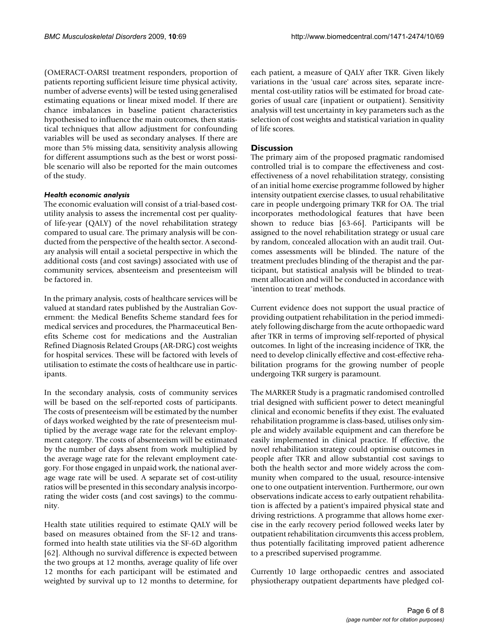(OMERACT-OARSI treatment responders, proportion of patients reporting sufficient leisure time physical activity, number of adverse events) will be tested using generalised estimating equations or linear mixed model. If there are chance imbalances in baseline patient characteristics hypothesised to influence the main outcomes, then statistical techniques that allow adjustment for confounding variables will be used as secondary analyses. If there are more than 5% missing data, sensitivity analysis allowing for different assumptions such as the best or worst possible scenario will also be reported for the main outcomes of the study.

### *Health economic analysis*

The economic evaluation will consist of a trial-based costutility analysis to assess the incremental cost per qualityof life-year (QALY) of the novel rehabilitation strategy compared to usual care. The primary analysis will be conducted from the perspective of the health sector. A secondary analysis will entail a societal perspective in which the additional costs (and cost savings) associated with use of community services, absenteeism and presenteeism will be factored in.

In the primary analysis, costs of healthcare services will be valued at standard rates published by the Australian Government: the Medical Benefits Scheme standard fees for medical services and procedures, the Pharmaceutical Benefits Scheme cost for medications and the Australian Refined Diagnosis Related Groups (AR-DRG) cost weights for hospital services. These will be factored with levels of utilisation to estimate the costs of healthcare use in participants.

In the secondary analysis, costs of community services will be based on the self-reported costs of participants. The costs of presenteeism will be estimated by the number of days worked weighted by the rate of presenteeism multiplied by the average wage rate for the relevant employment category. The costs of absenteeism will be estimated by the number of days absent from work multiplied by the average wage rate for the relevant employment category. For those engaged in unpaid work, the national average wage rate will be used. A separate set of cost-utility ratios will be presented in this secondary analysis incorporating the wider costs (and cost savings) to the community.

Health state utilities required to estimate QALY will be based on measures obtained from the SF-12 and transformed into health state utilities via the SF-6D algorithm [62]. Although no survival difference is expected between the two groups at 12 months, average quality of life over 12 months for each participant will be estimated and weighted by survival up to 12 months to determine, for each patient, a measure of QALY after TKR. Given likely variations in the 'usual care' across sites, separate incremental cost-utility ratios will be estimated for broad categories of usual care (inpatient or outpatient). Sensitivity analysis will test uncertainty in key parameters such as the selection of cost weights and statistical variation in quality of life scores.

## **Discussion**

The primary aim of the proposed pragmatic randomised controlled trial is to compare the effectiveness and costeffectiveness of a novel rehabilitation strategy, consisting of an initial home exercise programme followed by higher intensity outpatient exercise classes, to usual rehabilitative care in people undergoing primary TKR for OA. The trial incorporates methodological features that have been shown to reduce bias [63-66]. Participants will be assigned to the novel rehabilitation strategy or usual care by random, concealed allocation with an audit trail. Outcomes assessments will be blinded. The nature of the treatment precludes blinding of the therapist and the participant, but statistical analysis will be blinded to treatment allocation and will be conducted in accordance with 'intention to treat' methods.

Current evidence does not support the usual practice of providing outpatient rehabilitation in the period immediately following discharge from the acute orthopaedic ward after TKR in terms of improving self-reported of physical outcomes. In light of the increasing incidence of TKR, the need to develop clinically effective and cost-effective rehabilitation programs for the growing number of people undergoing TKR surgery is paramount.

The MARKER Study is a pragmatic randomised controlled trial designed with sufficient power to detect meaningful clinical and economic benefits if they exist. The evaluated rehabilitation programme is class-based, utilises only simple and widely available equipment and can therefore be easily implemented in clinical practice. If effective, the novel rehabilitation strategy could optimise outcomes in people after TKR and allow substantial cost savings to both the health sector and more widely across the community when compared to the usual, resource-intensive one to one outpatient intervention. Furthermore, our own observations indicate access to early outpatient rehabilitation is affected by a patient's impaired physical state and driving restrictions. A programme that allows home exercise in the early recovery period followed weeks later by outpatient rehabilitation circumvents this access problem, thus potentially facilitating improved patient adherence to a prescribed supervised programme.

Currently 10 large orthopaedic centres and associated physiotherapy outpatient departments have pledged col-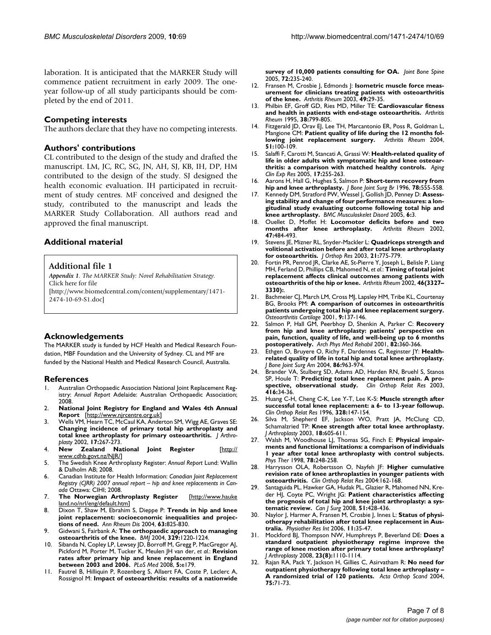laboration. It is anticipated that the MARKER Study will commence patient recruitment in early 2009. The oneyear follow-up of all study participants should be completed by the end of 2011.

#### **Competing interests**

The authors declare that they have no competing interests.

#### **Authors' contributions**

CL contributed to the design of the study and drafted the manuscript. LM, JC, RC, SG, JN, AH, SJ, KB, IH, DP, HM contributed to the design of the study. SJ designed the health economic evaluation. IH participated in recruitment of study centres. MF conceived and designed the study, contributed to the manuscript and leads the MARKER Study Collaboration. All authors read and approved the final manuscript.

#### **Additional material**

#### **Additional file 1**

*Appendix 1. The MARKER Study: Novel Rehabilitation Strategy.* Click here for file [\[http://www.biomedcentral.com/content/supplementary/1471-](http://www.biomedcentral.com/content/supplementary/1471-2474-10-69-S1.doc)

2474-10-69-S1.doc]

#### **Acknowledgements**

The MARKER study is funded by HCF Health and Medical Research Foundation, MBF Foundation and the University of Sydney. CL and MF are funded by the National Health and Medical Research Council, Australia.

#### **References**

- 1. Australian Orthopaedic Association National Joint Replacement Registry: *Annual Report* Adelaide: Australian Orthopaedic Association; 2008.
- 2. **National Joint Registry for England and Wales 4th Annual Report** [<http://www.njrcentre.org.uk>]
- 3. Wells VM, Hearn TC, McCaul KA, Anderton SM, Wigg AE, Graves SE: **[Changing incidence of primary total hip arthroplasty and](http://www.ncbi.nlm.nih.gov/entrez/query.fcgi?cmd=Retrieve&db=PubMed&dopt=Abstract&list_uids=11938500) [total knee arthroplasty for primary osteoarthritis.](http://www.ncbi.nlm.nih.gov/entrez/query.fcgi?cmd=Retrieve&db=PubMed&dopt=Abstract&list_uids=11938500)** *J Arthroplasty* 2002, **17:**267-273.
- 4. **New Zealand National Joint Register** [[http://](http://www.cdhb.govt.nz/NJR/) [www.cdhb.govt.nz/NJR/](http://www.cdhb.govt.nz/NJR/)]
- 5. The Swedish Knee Arthroplasty Register: *Annual Report* Lund: Wallin & Dalholm AB; 2008.
- 6. Canadian Institute for Health Information: *Canadian Joint Replacement Registry (CJRR) 2007 annual report – hip and knee replacements in Canada* Ottawa: CIHI; 2008.
- 7. **The Norwegian Arthroplasty Register** [\[http://www.hauke](http://www.haukeland.no/nrl/eng/default.htm) [land.no/nrl/eng/default.htm\]](http://www.haukeland.no/nrl/eng/default.htm)
- 8. Dixon T, Shaw M, Ebrahim S, Dieppe P: **[Trends in hip and knee](http://www.ncbi.nlm.nih.gov/entrez/query.fcgi?cmd=Retrieve&db=PubMed&dopt=Abstract&list_uids=15194578) [joint replacement: socioeconomic inequalities and projec](http://www.ncbi.nlm.nih.gov/entrez/query.fcgi?cmd=Retrieve&db=PubMed&dopt=Abstract&list_uids=15194578)[tions of need.](http://www.ncbi.nlm.nih.gov/entrez/query.fcgi?cmd=Retrieve&db=PubMed&dopt=Abstract&list_uids=15194578)** *Ann Rheum Dis* 2004, **63:**825-830.
- 9. Gidwani S, Fairbank A: **[The orthopaedic approach to managing](http://www.ncbi.nlm.nih.gov/entrez/query.fcgi?cmd=Retrieve&db=PubMed&dopt=Abstract&list_uids=15550426) [osteoarthritis of the knee.](http://www.ncbi.nlm.nih.gov/entrez/query.fcgi?cmd=Retrieve&db=PubMed&dopt=Abstract&list_uids=15550426)** *BMJ* 2004, **329:**1220-1224.
- 10. Sibanda N, Copley LP, Lewsey JD, Borroff M, Gregg P, MacGregor AJ, Pickford M, Porter M, Tucker K, Meulen JH van der, *et al.*: **[Revision](http://www.ncbi.nlm.nih.gov/entrez/query.fcgi?cmd=Retrieve&db=PubMed&dopt=Abstract&list_uids=18767900) [rates after primary hip and knee replacement in England](http://www.ncbi.nlm.nih.gov/entrez/query.fcgi?cmd=Retrieve&db=PubMed&dopt=Abstract&list_uids=18767900) [between 2003 and 2006.](http://www.ncbi.nlm.nih.gov/entrez/query.fcgi?cmd=Retrieve&db=PubMed&dopt=Abstract&list_uids=18767900)** *PLoS Med* 2008, **5:**e179.
- 11. Fautrel B, Hilliquin P, Rozenberg S, Allaert FA, Coste P, Leclerc A, Rossignol M: **[Impact of osteoarthritis: results of a nationwide](http://www.ncbi.nlm.nih.gov/entrez/query.fcgi?cmd=Retrieve&db=PubMed&dopt=Abstract&list_uids=15850995)**

**[survey of 10,000 patients consulting for OA.](http://www.ncbi.nlm.nih.gov/entrez/query.fcgi?cmd=Retrieve&db=PubMed&dopt=Abstract&list_uids=15850995)** *Joint Bone Spine* 2005, **72:**235-240.

- 12. Fransen M, Crosbie J, Edmonds J: **[Isometric muscle force meas](http://www.ncbi.nlm.nih.gov/entrez/query.fcgi?cmd=Retrieve&db=PubMed&dopt=Abstract&list_uids=12579591)[urement for clinicians treating patients with osteoarthritis](http://www.ncbi.nlm.nih.gov/entrez/query.fcgi?cmd=Retrieve&db=PubMed&dopt=Abstract&list_uids=12579591) [of the knee.](http://www.ncbi.nlm.nih.gov/entrez/query.fcgi?cmd=Retrieve&db=PubMed&dopt=Abstract&list_uids=12579591)** *Arthritis Rheum* 2003, **49:**29-35.
- 13. Philbin EF, Groff GD, Ries MD, Miller TE: **[Cardiovascular fitness](http://www.ncbi.nlm.nih.gov/entrez/query.fcgi?cmd=Retrieve&db=PubMed&dopt=Abstract&list_uids=7779123) [and health in patients with end-stage osteoarthritis.](http://www.ncbi.nlm.nih.gov/entrez/query.fcgi?cmd=Retrieve&db=PubMed&dopt=Abstract&list_uids=7779123)** *Arthritis Rheum* 1995, **38:**799-805.
- 14. Fitzgerald JD, Orav EJ, Lee TH, Marcantonio ER, Poss R, Goldman L, Mangione CM: **Patient quality of life during the 12 months fol-<br>lowing joint replacement surgery. Arthritis Rheum 2004,** [lowing joint replacement surgery.](http://www.ncbi.nlm.nih.gov/entrez/query.fcgi?cmd=Retrieve&db=PubMed&dopt=Abstract&list_uids=14872462) **51:**100-109.
- 15. Salaffi F, Carotti M, Stancati A, Grassi W: **[Health-related quality of](http://www.ncbi.nlm.nih.gov/entrez/query.fcgi?cmd=Retrieve&db=PubMed&dopt=Abstract&list_uids=16285189) [life in older adults with symptomatic hip and knee osteoar](http://www.ncbi.nlm.nih.gov/entrez/query.fcgi?cmd=Retrieve&db=PubMed&dopt=Abstract&list_uids=16285189)[thritis: a comparison with matched healthy controls.](http://www.ncbi.nlm.nih.gov/entrez/query.fcgi?cmd=Retrieve&db=PubMed&dopt=Abstract&list_uids=16285189)** *Aging Clin Exp Res* 2005, **17:**255-263.
- Aarons H, Hall G, Hughes S, Salmon P: [Short-term recovery from](http://www.ncbi.nlm.nih.gov/entrez/query.fcgi?cmd=Retrieve&db=PubMed&dopt=Abstract&list_uids=8682819) **[hip and knee arthroplasty.](http://www.ncbi.nlm.nih.gov/entrez/query.fcgi?cmd=Retrieve&db=PubMed&dopt=Abstract&list_uids=8682819)** *J Bone Joint Surg Br* 1996, **78:**555-558.
- 17. Kennedy DM, Stratford PW, Wessel J, Gollish JD, Penney D: **[Assess](http://www.ncbi.nlm.nih.gov/entrez/query.fcgi?cmd=Retrieve&db=PubMed&dopt=Abstract&list_uids=15679884)[ing stability and change of four performance measures: a lon](http://www.ncbi.nlm.nih.gov/entrez/query.fcgi?cmd=Retrieve&db=PubMed&dopt=Abstract&list_uids=15679884)gitudinal study evaluating outcome following total hip and [knee arthroplasty.](http://www.ncbi.nlm.nih.gov/entrez/query.fcgi?cmd=Retrieve&db=PubMed&dopt=Abstract&list_uids=15679884)** *BMC Musculoskelet Disord* 2005, **6:**3.
- 18. Ouellet D, Moffet H: **[Locomotor deficits before and two](http://www.ncbi.nlm.nih.gov/entrez/query.fcgi?cmd=Retrieve&db=PubMed&dopt=Abstract&list_uids=12382296)** [months after knee arthroplasty.](http://www.ncbi.nlm.nih.gov/entrez/query.fcgi?cmd=Retrieve&db=PubMed&dopt=Abstract&list_uids=12382296) **47:**484-493.
- 19. Stevens JE, Mizner RL, Snyder-Mackler L: **[Quadriceps strength and](http://www.ncbi.nlm.nih.gov/entrez/query.fcgi?cmd=Retrieve&db=PubMed&dopt=Abstract&list_uids=12919862) [volitional activation before and after total knee arthroplasty](http://www.ncbi.nlm.nih.gov/entrez/query.fcgi?cmd=Retrieve&db=PubMed&dopt=Abstract&list_uids=12919862) [for osteoarthritis.](http://www.ncbi.nlm.nih.gov/entrez/query.fcgi?cmd=Retrieve&db=PubMed&dopt=Abstract&list_uids=12919862)** *J Orthop Res* 2003, **21:**775-779.
- 20. Fortin PR, Penrod JR, Clarke AE, St-Pierre Y, Joseph L, Belisle P, Liang MH, Ferland D, Phillips CB, Mahomed N, *et al.*: **Timing of total joint replacement affects clinical outcomes among patients with osteoarthritis of the hip or knee.** *Arthritis Rheum* 2002, **46(3327– 3330):**.
- 21. Bachmeier CJ, March LM, Cross MJ, Lapsley HM, Tribe KL, Courtenay BG, Brooks PM: **[A comparison of outcomes in osteoarthritis](http://www.ncbi.nlm.nih.gov/entrez/query.fcgi?cmd=Retrieve&db=PubMed&dopt=Abstract&list_uids=11330253) [patients undergoing total hip and knee replacement surgery.](http://www.ncbi.nlm.nih.gov/entrez/query.fcgi?cmd=Retrieve&db=PubMed&dopt=Abstract&list_uids=11330253)** *Osteoarthritis Cartilage* 2001, **9:**137-146.
- 22. Salmon P, Hall GM, Peerbhoy D, Shenkin A, Parker C: **[Recovery](http://www.ncbi.nlm.nih.gov/entrez/query.fcgi?cmd=Retrieve&db=PubMed&dopt=Abstract&list_uids=11245759) [from hip and knee arthroplasty: patients' perspective on](http://www.ncbi.nlm.nih.gov/entrez/query.fcgi?cmd=Retrieve&db=PubMed&dopt=Abstract&list_uids=11245759) pain, function, quality of life, and well-being up to 6 months [postoperatively.](http://www.ncbi.nlm.nih.gov/entrez/query.fcgi?cmd=Retrieve&db=PubMed&dopt=Abstract&list_uids=11245759)** *Arch Phys Med Rehabil* 2001, **82:**360-366.
- 23. Ethgen O, Bruyere O, Richy F, Dardennes C, Reginster JY: **[Health](http://www.ncbi.nlm.nih.gov/entrez/query.fcgi?cmd=Retrieve&db=PubMed&dopt=Abstract&list_uids=15118039)[related quality of life in total hip and total knee arthroplasty.](http://www.ncbi.nlm.nih.gov/entrez/query.fcgi?cmd=Retrieve&db=PubMed&dopt=Abstract&list_uids=15118039)** *J Bone Joint Surg Am* 2004, **86:**963-974.
- 24. Brander VA, Stulberg SD, Adams AD, Harden RN, Bruehl S, Stanos SP, Houle T: **Predicting total knee replacement pain. A prospective, observational study.** *Clin Orthop Relat Res* 2003, **416:**34-36.
- 25. Huang C-H, Cheng C-K, Lee Y-T, Lee K-S: **[Muscle strength after](http://www.ncbi.nlm.nih.gov/entrez/query.fcgi?cmd=Retrieve&db=PubMed&dopt=Abstract&list_uids=8653948) [successful total knee replacement: a 6- to 13-year followup.](http://www.ncbi.nlm.nih.gov/entrez/query.fcgi?cmd=Retrieve&db=PubMed&dopt=Abstract&list_uids=8653948)** *Clin Orthop Relat Res* 1996, **328:**147-154.
- 26. Silva M, Shepherd EF, Jackson WO, Pratt JA, McClung CD, Schamalzried TP: **[Knee strength after total knee arthroplasty.](http://www.ncbi.nlm.nih.gov/entrez/query.fcgi?cmd=Retrieve&db=PubMed&dopt=Abstract&list_uids=12934213)** *J Arthroplasty* 2003, **18:**605-611.
- 27. Walsh M, Woodhouse LJ, Thomas SG, Finch E: **[Physical impair](http://www.ncbi.nlm.nih.gov/entrez/query.fcgi?cmd=Retrieve&db=PubMed&dopt=Abstract&list_uids=9520970)[ments and functional limitations: a comparison of individuals](http://www.ncbi.nlm.nih.gov/entrez/query.fcgi?cmd=Retrieve&db=PubMed&dopt=Abstract&list_uids=9520970) 1 year after total knee arthroplasty with control subjects.** *Phys Ther* 1998, **78:**248-258.
- 28. Harrysson OLA, Robertsson O, Nayfeh JF: **[Higher cumulative](http://www.ncbi.nlm.nih.gov/entrez/query.fcgi?cmd=Retrieve&db=PubMed&dopt=Abstract&list_uids=15123942) [revision rate of knee arthroplasties in younger patients with](http://www.ncbi.nlm.nih.gov/entrez/query.fcgi?cmd=Retrieve&db=PubMed&dopt=Abstract&list_uids=15123942) [osteoarthritis.](http://www.ncbi.nlm.nih.gov/entrez/query.fcgi?cmd=Retrieve&db=PubMed&dopt=Abstract&list_uids=15123942)** *Clin Orthop Relat Res* 2004:162-168.
- 29. Santaguida PL, Hawker GA, Hudak PL, Glazier R, Mahomed NN, Kreder HJ, Coyte PC, Wright JG: **[Patient characteristics affecting](http://www.ncbi.nlm.nih.gov/entrez/query.fcgi?cmd=Retrieve&db=PubMed&dopt=Abstract&list_uids=19057730) [the prognosis of total hip and knee joint arthroplasty: a sys](http://www.ncbi.nlm.nih.gov/entrez/query.fcgi?cmd=Retrieve&db=PubMed&dopt=Abstract&list_uids=19057730)[tematic review.](http://www.ncbi.nlm.nih.gov/entrez/query.fcgi?cmd=Retrieve&db=PubMed&dopt=Abstract&list_uids=19057730)** *Can J Surg* 2008, **51:**428-436.
- 30. Naylor J, Harmer A, Fransen M, Crosbie J, Innes L: **[Status of physi](http://www.ncbi.nlm.nih.gov/entrez/query.fcgi?cmd=Retrieve&db=PubMed&dopt=Abstract&list_uids=16594314)[otherapy rehabilitation after total knee replacement in Aus](http://www.ncbi.nlm.nih.gov/entrez/query.fcgi?cmd=Retrieve&db=PubMed&dopt=Abstract&list_uids=16594314)[tralia.](http://www.ncbi.nlm.nih.gov/entrez/query.fcgi?cmd=Retrieve&db=PubMed&dopt=Abstract&list_uids=16594314)** *Physiother Res Int* 2006, **11:**35-47.
- 31. Mockford BJ, Thompson NW, Humphreys P, Beverland DE: **[Does a](http://www.ncbi.nlm.nih.gov/entrez/query.fcgi?cmd=Retrieve&db=PubMed&dopt=Abstract&list_uids=18534481) [standard outpatient physiotherapy regime improve the](http://www.ncbi.nlm.nih.gov/entrez/query.fcgi?cmd=Retrieve&db=PubMed&dopt=Abstract&list_uids=18534481) range of knee motion after primary total knee arthroplasty?** *J Arthroplasty* 2008, **23(8):**1110-1114.
- 32. Rajan RA, Pack Y, Jackson H, Gillies C, Asirvatham R: **[No need for](http://www.ncbi.nlm.nih.gov/entrez/query.fcgi?cmd=Retrieve&db=PubMed&dopt=Abstract&list_uids=15022811) [outpatient physiotherapy following total knee arthroplasty –](http://www.ncbi.nlm.nih.gov/entrez/query.fcgi?cmd=Retrieve&db=PubMed&dopt=Abstract&list_uids=15022811) [A randomized trial of 120 patients.](http://www.ncbi.nlm.nih.gov/entrez/query.fcgi?cmd=Retrieve&db=PubMed&dopt=Abstract&list_uids=15022811)** *Acta Orthop Scand* 2004, **75:**71-73.